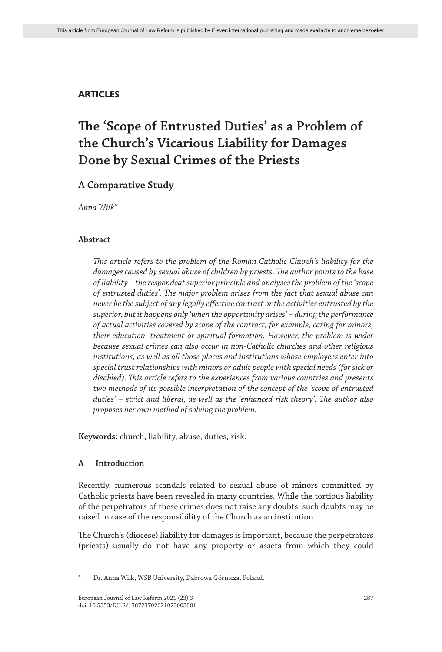## **ARTICLES**

# **The 'Scope of Entrusted Duties' as a Problem of the Church's Vicarious Liability for Damages Done by Sexual Crimes of the Priests**

# **A Comparative Study**

*Anna Wilk\**

## **Abstract**

*This article refers to the problem of the Roman Catholic Church's liability for the damages caused by sexual abuse of children by priests. The author points to the base of liability – the respondeat superior principle and analyses the problem of the 'scope of entrusted duties'. The major problem arises from the fact that sexual abuse can never be the subject of any legally effective contract or the activities entrusted by the superior, but it happens only 'when the opportunity arises' – during the performance of actual activities covered by scope of the contract, for example, caring for minors, their education, treatment or spiritual formation. However, the problem is wider because sexual crimes can also occur in non-Catholic churches and other religious institutions, as well as all those places and institutions whose employees enter into special trust relationships with minors or adult people with special needs (for sick or disabled). This article refers to the experiences from various countries and presents two methods of its possible interpretation of the concept of the 'scope of entrusted duties' – strict and liberal, as well as the 'enhanced risk theory'. The author also proposes her own method of solving the problem.*

**Keywords:** church, liability, abuse, duties, risk.

## **A Introduction**

Recently, numerous scandals related to sexual abuse of minors committed by Catholic priests have been revealed in many countries. While the tortious liability of the perpetrators of these crimes does not raise any doubts, such doubts may be raised in case of the responsibility of the Church as an institution.

The Church's (diocese) liability for damages is important, because the perpetrators (priests) usually do not have any property or assets from which they could

Dr. Anna Wilk, WSB University, Dąbrowa Górnicza, Poland.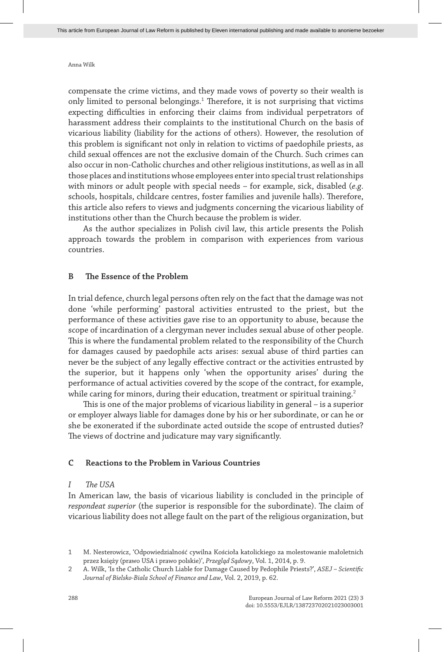compensate the crime victims, and they made vows of poverty so their wealth is only limited to personal belongings.<sup>1</sup> Therefore, it is not surprising that victims expecting difficulties in enforcing their claims from individual perpetrators of harassment address their complaints to the institutional Church on the basis of vicarious liability (liability for the actions of others). However, the resolution of this problem is significant not only in relation to victims of paedophile priests, as child sexual offences are not the exclusive domain of the Church. Such crimes can also occur in non-Catholic churches and other religious institutions, as well as in all those places and institutions whose employees enter into special trust relationships with minors or adult people with special needs – for example, sick, disabled (*e.g*. schools, hospitals, childcare centres, foster families and juvenile halls). Therefore, this article also refers to views and judgments concerning the vicarious liability of institutions other than the Church because the problem is wider.

As the author specializes in Polish civil law, this article presents the Polish approach towards the problem in comparison with experiences from various countries.

#### **B The Essence of the Problem**

In trial defence, church legal persons often rely on the fact that the damage was not done 'while performing' pastoral activities entrusted to the priest, but the performance of these activities gave rise to an opportunity to abuse, because the scope of incardination of a clergyman never includes sexual abuse of other people. This is where the fundamental problem related to the responsibility of the Church for damages caused by paedophile acts arises: sexual abuse of third parties can never be the subject of any legally effective contract or the activities entrusted by the superior, but it happens only 'when the opportunity arises' during the performance of actual activities covered by the scope of the contract, for example, while caring for minors, during their education, treatment or spiritual training.<sup>2</sup>

This is one of the major problems of vicarious liability in general – is a superior or employer always liable for damages done by his or her subordinate, or can he or she be exonerated if the subordinate acted outside the scope of entrusted duties? The views of doctrine and judicature may vary significantly.

#### **C Reactions to the Problem in Various Countries**

#### *I The USA*

In American law, the basis of vicarious liability is concluded in the principle of *respondeat superior* (the superior is responsible for the subordinate). The claim of vicarious liability does not allege fault on the part of the religious organization, but

<sup>1</sup> M. Nesterowicz, 'Odpowiedzialność cywilna Kościoła katolickiego za molestowanie małoletnich przez księży (prawo USA i prawo polskie)', *Przegląd Sądowy*, Vol. 1, 2014, p. 9.

<sup>2</sup> A. Wilk, 'Is the Catholic Church Liable for Damage Caused by Pedophile Priests?', *ASEJ – Scientific Journal of Bielsko-Biala School of Finance and Law*, Vol. 2, 2019, p. 62.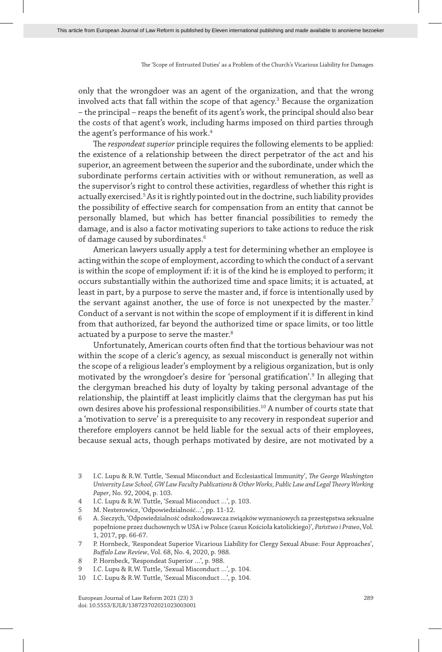only that the wrongdoer was an agent of the organization, and that the wrong involved acts that fall within the scope of that agency.<sup>3</sup> Because the organization – the principal – reaps the benefit of its agent's work, the principal should also bear the costs of that agent's work, including harms imposed on third parties through the agent's performance of his work.<sup>4</sup>

The *respondeat superior* principle requires the following elements to be applied: the existence of a relationship between the direct perpetrator of the act and his superior, an agreement between the superior and the subordinate, under which the subordinate performs certain activities with or without remuneration, as well as the supervisor's right to control these activities, regardless of whether this right is actually exercised.<sup>5</sup> As it is rightly pointed out in the doctrine, such liability provides the possibility of effective search for compensation from an entity that cannot be personally blamed, but which has better financial possibilities to remedy the damage, and is also a factor motivating superiors to take actions to reduce the risk of damage caused by subordinates.6

American lawyers usually apply a test for determining whether an employee is acting within the scope of employment, according to which the conduct of a servant is within the scope of employment if: it is of the kind he is employed to perform; it occurs substantially within the authorized time and space limits; it is actuated, at least in part, by a purpose to serve the master and, if force is intentionally used by the servant against another, the use of force is not unexpected by the master.<sup>7</sup> Conduct of a servant is not within the scope of employment if it is different in kind from that authorized, far beyond the authorized time or space limits, or too little actuated by a purpose to serve the master.<sup>8</sup>

Unfortunately, American courts often find that the tortious behaviour was not within the scope of a cleric's agency, as sexual misconduct is generally not within the scope of a religious leader's employment by a religious organization, but is only motivated by the wrongdoer's desire for 'personal gratification'.9 In alleging that the clergyman breached his duty of loyalty by taking personal advantage of the relationship, the plaintiff at least implicitly claims that the clergyman has put his own desires above his professional responsibilities.<sup>10</sup> A number of courts state that a 'motivation to serve' is a prerequisite to any recovery in respondeat superior and therefore employers cannot be held liable for the sexual acts of their employees, because sexual acts, though perhaps motivated by desire, are not motivated by a

10 I.C. Lupu & R.W. Tuttle, 'Sexual Misconduct …', p. 104.

<sup>3</sup> I.C. Lupu & R.W. Tuttle, 'Sexual Misconduct and Ecclesiastical Immunity', *The George Washington University Law School, GW Law Faculty Publications & Other Works, Public Law and Legal Theory Working Paper*, No. 92, 2004, p. 103.

<sup>4</sup> I.C. Lupu & R.W. Tuttle, 'Sexual Misconduct …', p. 103.

<sup>5</sup> M. Nesterowicz, 'Odpowiedzialność…', pp. 11-12.

<sup>6</sup> A. Sieczych, 'Odpowiedzialność odszkodowawcza związków wyznaniowych za przestępstwa seksualne popełnione przez duchownych w USA i w Polsce (casus Kościoła katolickiego)', *Państwo i Prawo*, Vol. 1, 2017, pp. 66-67.

<sup>7</sup> P. Hornbeck, 'Respondeat Superior Vicarious Liability for Clergy Sexual Abuse: Four Approaches', *Buffalo Law Review*, Vol. 68, No. 4, 2020, p. 988.

<sup>8</sup> P. Hornbeck, 'Respondeat Superior ...', p. 988.

<sup>9</sup> I.C. Lupu & R.W. Tuttle, 'Sexual Misconduct …', p. 104.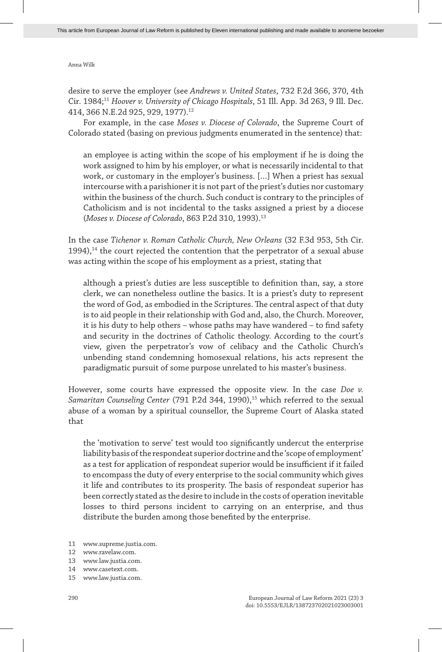desire to serve the employer (see *Andrews v. United States*, 732 F.2d 366, 370, 4th Cir. 1984;<sup>11</sup> *Hoover v. University of Chicago Hospitals*, 51 Ill. App. 3d 263, 9 Ill. Dec. 414, 366 N.E.2d 925, 929, 1977).12

For example, in the case *Moses v. Diocese of Colorado*, the Supreme Court of Colorado stated (basing on previous judgments enumerated in the sentence) that:

an employee is acting within the scope of his employment if he is doing the work assigned to him by his employer, or what is necessarily incidental to that work, or customary in the employer's business. […] When a priest has sexual intercourse with a parishioner it is not part of the priest's duties nor customary within the business of the church. Such conduct is contrary to the principles of Catholicism and is not incidental to the tasks assigned a priest by a diocese (*Moses v. Diocese of Colorado*, 863 P.2d 310, 1993).13

In the case *Tichenor v. Roman Catholic Church, New Orleans* (32 F.3d 953, 5th Cir.  $1994$ ),<sup>14</sup> the court rejected the contention that the perpetrator of a sexual abuse was acting within the scope of his employment as a priest, stating that

although a priest's duties are less susceptible to definition than, say, a store clerk, we can nonetheless outline the basics. It is a priest's duty to represent the word of God, as embodied in the Scriptures. The central aspect of that duty is to aid people in their relationship with God and, also, the Church. Moreover, it is his duty to help others – whose paths may have wandered – to find safety and security in the doctrines of Catholic theology. According to the court's view, given the perpetrator's vow of celibacy and the Catholic Church's unbending stand condemning homosexual relations, his acts represent the paradigmatic pursuit of some purpose unrelated to his master's business.

However, some courts have expressed the opposite view. In the case *Doe v.*  Samaritan Counseling Center (791 P.2d 344, 1990),<sup>15</sup> which referred to the sexual abuse of a woman by a spiritual counsellor, the Supreme Court of Alaska stated that

the 'motivation to serve' test would too significantly undercut the enterprise liability basis of the respondeat superior doctrine and the 'scope of employment' as a test for application of respondeat superior would be insufficient if it failed to encompass the duty of every enterprise to the social community which gives it life and contributes to its prosperity. The basis of respondeat superior has been correctly stated as the desire to include in the costs of operation inevitable losses to third persons incident to carrying on an enterprise, and thus distribute the burden among those benefited by the enterprise.

<sup>11</sup> www.supreme.justia.com.

<sup>12</sup> www.ravelaw.com.

<sup>13</sup> www.law.justia.com.

<sup>14</sup> www.casetext.com.

<sup>15</sup> www.law.justia.com.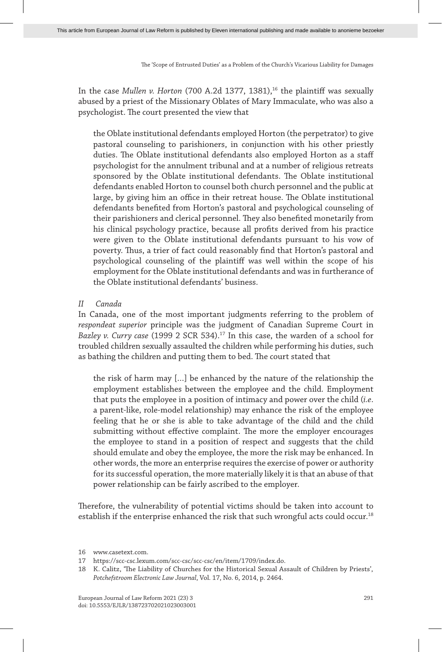In the case *Mullen v. Horton* (700 A.2d 1377, 1381),<sup>16</sup> the plaintiff was sexually abused by a priest of the Missionary Oblates of Mary Immaculate, who was also a psychologist. The court presented the view that

the Oblate institutional defendants employed Horton (the perpetrator) to give pastoral counseling to parishioners, in conjunction with his other priestly duties. The Oblate institutional defendants also employed Horton as a staff psychologist for the annulment tribunal and at a number of religious retreats sponsored by the Oblate institutional defendants. The Oblate institutional defendants enabled Horton to counsel both church personnel and the public at large, by giving him an office in their retreat house. The Oblate institutional defendants benefited from Horton's pastoral and psychological counseling of their parishioners and clerical personnel. They also benefited monetarily from his clinical psychology practice, because all profits derived from his practice were given to the Oblate institutional defendants pursuant to his vow of poverty. Thus, a trier of fact could reasonably find that Horton's pastoral and psychological counseling of the plaintiff was well within the scope of his employment for the Oblate institutional defendants and was in furtherance of the Oblate institutional defendants' business.

## *II Canada*

In Canada, one of the most important judgments referring to the problem of *respondeat superior* principle was the judgment of Canadian Supreme Court in *Bazley v. Curry case* (1999 2 SCR 534).17 In this case, the warden of a school for troubled children sexually assaulted the children while performing his duties, such as bathing the children and putting them to bed. The court stated that

the risk of harm may […] be enhanced by the nature of the relationship the employment establishes between the employee and the child. Employment that puts the employee in a position of intimacy and power over the child (*i.e*. a parent-like, role-model relationship) may enhance the risk of the employee feeling that he or she is able to take advantage of the child and the child submitting without effective complaint. The more the employer encourages the employee to stand in a position of respect and suggests that the child should emulate and obey the employee, the more the risk may be enhanced. In other words, the more an enterprise requires the exercise of power or authority for its successful operation, the more materially likely it is that an abuse of that power relationship can be fairly ascribed to the employer.

Therefore, the vulnerability of potential victims should be taken into account to establish if the enterprise enhanced the risk that such wrongful acts could occur.18

<sup>16</sup> www.casetext.com.

<sup>17</sup> https://scc-csc.lexum.com/scc-csc/scc-csc/en/item/1709/index.do.

<sup>18</sup> K. Calitz, 'The Liability of Churches for the Historical Sexual Assault of Children by Priests', *Potchefstroom Electronic Law Journal*, Vol. 17, No. 6, 2014, p. 2464.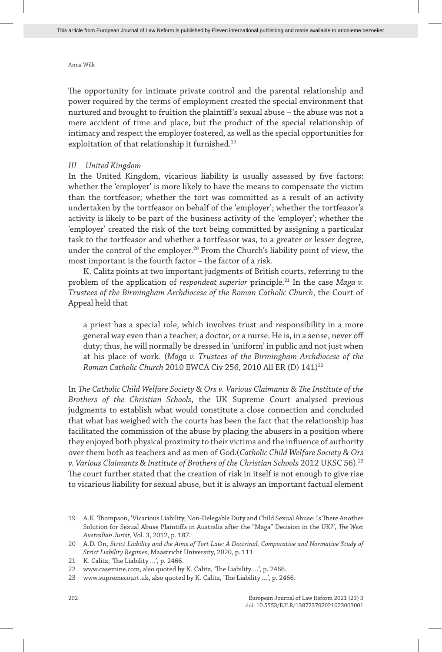The opportunity for intimate private control and the parental relationship and power required by the terms of employment created the special environment that nurtured and brought to fruition the plaintiff's sexual abuse – the abuse was not a mere accident of time and place, but the product of the special relationship of intimacy and respect the employer fostered, as well as the special opportunities for exploitation of that relationship it furnished.<sup>19</sup>

#### *III United Kingdom*

In the United Kingdom, vicarious liability is usually assessed by five factors: whether the 'employer' is more likely to have the means to compensate the victim than the tortfeasor; whether the tort was committed as a result of an activity undertaken by the tortfeasor on behalf of the 'employer'; whether the tortfeasor's activity is likely to be part of the business activity of the 'employer'; whether the 'employer' created the risk of the tort being committed by assigning a particular task to the tortfeasor and whether a tortfeasor was, to a greater or lesser degree, under the control of the employer.<sup>20</sup> From the Church's liability point of view, the most important is the fourth factor – the factor of a risk.

K. Calitz points at two important judgments of British courts, referring to the problem of the application of *respondeat superior* principle.<sup>21</sup> In the case Maga v. *Trustees of the Birmingham Archdiocese of the Roman Catholic Church*, the Court of Appeal held that

a priest has a special role, which involves trust and responsibility in a more general way even than a teacher, a doctor, or a nurse. He is, in a sense, never off duty; thus, he will normally be dressed in 'uniform' in public and not just when at his place of work. (*Maga v. Trustees of the Birmingham Archdiocese of the Roman Catholic Church* 2010 EWCA Civ 256, 2010 All ER (D) 141)<sup>22</sup>

In *The Catholic Child Welfare Society & Ors v. Various Claimants & The Institute of the Brothers of the Christian Schools*, the UK Supreme Court analysed previous judgments to establish what would constitute a close connection and concluded that what has weighed with the courts has been the fact that the relationship has facilitated the commission of the abuse by placing the abusers in a position where they enjoyed both physical proximity to their victims and the influence of authority over them both as teachers and as men of God.(*Catholic Child Welfare Society & Ors v. Various Claimants & Institute of Brothers of the Christian Schools* 2012 UKSC 56).<sup>23</sup> The court further stated that the creation of risk in itself is not enough to give rise to vicarious liability for sexual abuse, but it is always an important factual element

<sup>19</sup> A.K. Thompson, 'Vicarious Liability, Non-Delegable Duty and Child Sexual Abuse: Is There Another Solution for Sexual Abuse Plaintiffs in Australia after the "Maga" Decision in the UK?', *The West Australian Jurist*, Vol. 3, 2012, p. 187.

<sup>20</sup> A.D. On, *Strict Liability and the Aims of Tort Law: A Doctrinal, Comparative and Normative Study of Strict Liability Regimes*, Maastricht University, 2020, p. 111.

<sup>21</sup> K. Calitz, 'The Liability …', p. 2466.

<sup>22</sup> www.casemine.com, also quoted by K. Calitz, 'The Liability …', p. 2466.

<sup>23</sup> www.supremecourt.uk, also quoted by K. Calitz, 'The Liability …', p. 2466.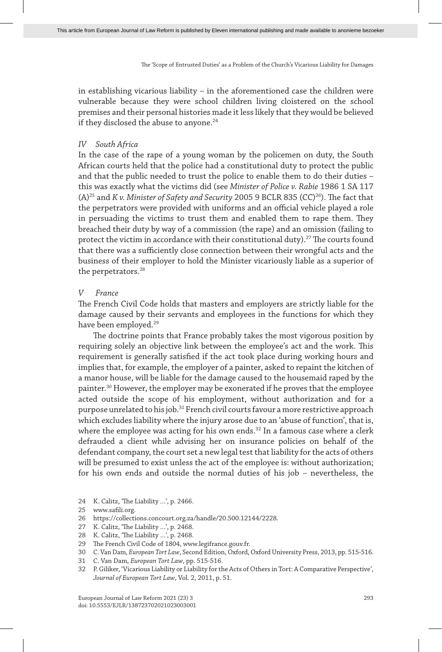in establishing vicarious liability – in the aforementioned case the children were vulnerable because they were school children living cloistered on the school premises and their personal histories made it less likely that they would be believed if they disclosed the abuse to anyone.<sup>24</sup>

#### *IV South Africa*

In the case of the rape of a young woman by the policemen on duty, the South African courts held that the police had a constitutional duty to protect the public and that the public needed to trust the police to enable them to do their duties – this was exactly what the victims did (see *Minister of Police v. Rabie* 1986 1 SA 117 (A)<sup>25</sup> and *K v. Minister of Safety and Security* 2005 9 BCLR 835 (CC)<sup>26</sup>). The fact that the perpetrators were provided with uniforms and an official vehicle played a role in persuading the victims to trust them and enabled them to rape them. They breached their duty by way of a commission (the rape) and an omission (failing to protect the victim in accordance with their constitutional duty).<sup>27</sup> The courts found that there was a sufficiently close connection between their wrongful acts and the business of their employer to hold the Minister vicariously liable as a superior of the perpetrators.<sup>28</sup>

#### *V France*

The French Civil Code holds that masters and employers are strictly liable for the damage caused by their servants and employees in the functions for which they have been employed.<sup>29</sup>

The doctrine points that France probably takes the most vigorous position by requiring solely an objective link between the employee's act and the work. This requirement is generally satisfied if the act took place during working hours and implies that, for example, the employer of a painter, asked to repaint the kitchen of a manor house, will be liable for the damage caused to the housemaid raped by the painter.30 However, the employer may be exonerated if he proves that the employee acted outside the scope of his employment, without authorization and for a purpose unrelated to his job.31 French civil courts favour a more restrictive approach which excludes liability where the injury arose due to an 'abuse of function', that is, where the employee was acting for his own ends.<sup>32</sup> In a famous case where a clerk defrauded a client while advising her on insurance policies on behalf of the defendant company, the court set a new legal test that liability for the acts of others will be presumed to exist unless the act of the employee is: without authorization; for his own ends and outside the normal duties of his job – nevertheless, the

24 K. Calitz, 'The Liability …', p. 2466.

31 C. Van Dam, *European Tort Law*, pp. 515-516.

<sup>25</sup> www.safili.org.

<sup>26</sup> https://collections.concourt.org.za/handle/20.500.12144/2228.

<sup>27</sup> K. Calitz, 'The Liability …', p. 2468.

<sup>28</sup> K. Calitz, 'The Liability …', p. 2468.

<sup>29</sup> The French Civil Code of 1804, www.legifrance.gouv.fr.

<sup>30</sup> C. Van Dam, *European Tort Law*, Second Edition, Oxford, Oxford University Press, 2013, pp. 515-516.

<sup>32</sup> P. Giliker, 'Vicarious Liability or Liability for the Acts of Others in Tort: A Comparative Perspective', *Journal of European Tort Law*, Vol. 2, 2011, p. 51.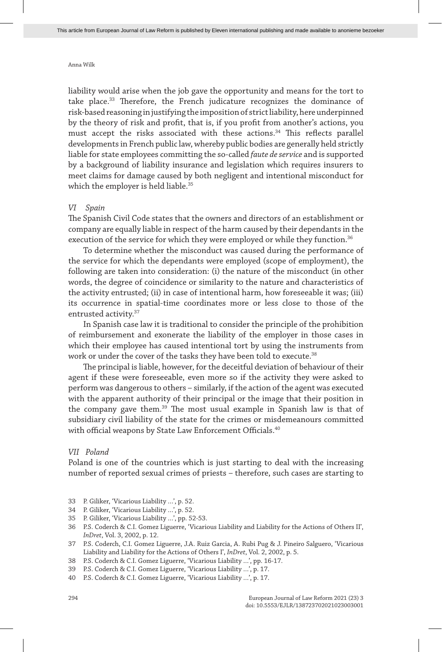liability would arise when the job gave the opportunity and means for the tort to take place.33 Therefore, the French judicature recognizes the dominance of risk-based reasoning in justifying the imposition of strict liability, here underpinned by the theory of risk and profit, that is, if you profit from another's actions, you must accept the risks associated with these actions.<sup>34</sup> This reflects parallel developments in French public law, whereby public bodies are generally held strictly liable for state employees committing the so-called *faute de service* and is supported by a background of liability insurance and legislation which requires insurers to meet claims for damage caused by both negligent and intentional misconduct for which the employer is held liable.<sup>35</sup>

#### *VI Spain*

The Spanish Civil Code states that the owners and directors of an establishment or company are equally liable in respect of the harm caused by their dependants in the execution of the service for which they were employed or while they function.<sup>36</sup>

To determine whether the misconduct was caused during the performance of the service for which the dependants were employed (scope of employment), the following are taken into consideration: (i) the nature of the misconduct (in other words, the degree of coincidence or similarity to the nature and characteristics of the activity entrusted; (ii) in case of intentional harm, how foreseeable it was; (iii) its occurrence in spatial-time coordinates more or less close to those of the entrusted activity.37

In Spanish case law it is traditional to consider the principle of the prohibition of reimbursement and exonerate the liability of the employer in those cases in which their employee has caused intentional tort by using the instruments from work or under the cover of the tasks they have been told to execute.<sup>38</sup>

The principal is liable, however, for the deceitful deviation of behaviour of their agent if these were foreseeable, even more so if the activity they were asked to perform was dangerous to others – similarly, if the action of the agent was executed with the apparent authority of their principal or the image that their position in the company gave them.<sup>39</sup> The most usual example in Spanish law is that of subsidiary civil liability of the state for the crimes or misdemeanours committed with official weapons by State Law Enforcement Officials.40

### *VII Poland*

Poland is one of the countries which is just starting to deal with the increasing number of reported sexual crimes of priests – therefore, such cases are starting to

- 33 P. Giliker, 'Vicarious Liability …', p. 52.
- 34 P. Giliker, 'Vicarious Liability …', p. 52.
- 35 P. Giliker, 'Vicarious Liability …', pp. 52-53.
- 36 P.S. Coderch & C.I. Gomez Liguerre, 'Vicarious Liability and Liability for the Actions of Others II', *InDret*, Vol. 3, 2002, p. 12.
- 37 P.S. Coderch, C.I. Gomez Liguerre, J.A. Ruiz Garcia, A. Rubi Pug & J. Pineiro Salguero, 'Vicarious Liability and Liability for the Actions of Others I', *InDret*, Vol. 2, 2002, p. 5.
- 38 P.S. Coderch & C.I. Gomez Liguerre, 'Vicarious Liability …', pp. 16-17.
- 39 P.S. Coderch & C.I. Gomez Liguerre, 'Vicarious Liability …', p. 17.
- 40 P.S. Coderch & C.I. Gomez Liguerre, 'Vicarious Liability …', p. 17.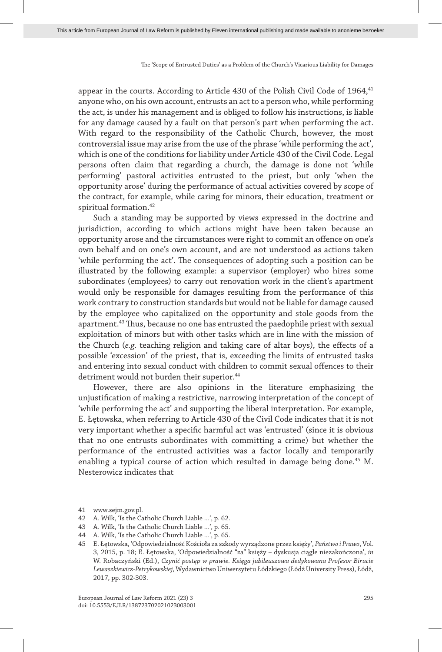appear in the courts. According to Article 430 of the Polish Civil Code of 1964.<sup>41</sup> anyone who, on his own account, entrusts an act to a person who, while performing the act, is under his management and is obliged to follow his instructions, is liable for any damage caused by a fault on that person's part when performing the act. With regard to the responsibility of the Catholic Church, however, the most controversial issue may arise from the use of the phrase 'while performing the act', which is one of the conditions for liability under Article 430 of the Civil Code. Legal persons often claim that regarding a church, the damage is done not 'while performing' pastoral activities entrusted to the priest, but only 'when the opportunity arose' during the performance of actual activities covered by scope of the contract, for example, while caring for minors, their education, treatment or spiritual formation.<sup>42</sup>

Such a standing may be supported by views expressed in the doctrine and jurisdiction, according to which actions might have been taken because an opportunity arose and the circumstances were right to commit an offence on one's own behalf and on one's own account, and are not understood as actions taken 'while performing the act'. The consequences of adopting such a position can be illustrated by the following example: a supervisor (employer) who hires some subordinates (employees) to carry out renovation work in the client's apartment would only be responsible for damages resulting from the performance of this work contrary to construction standards but would not be liable for damage caused by the employee who capitalized on the opportunity and stole goods from the apartment.43 Thus, because no one has entrusted the paedophile priest with sexual exploitation of minors but with other tasks which are in line with the mission of the Church (*e.g*. teaching religion and taking care of altar boys), the effects of a possible 'excession' of the priest, that is, exceeding the limits of entrusted tasks and entering into sexual conduct with children to commit sexual offences to their detriment would not burden their superior.<sup>44</sup>

However, there are also opinions in the literature emphasizing the unjustification of making a restrictive, narrowing interpretation of the concept of 'while performing the act' and supporting the liberal interpretation. For example, E. Łętowska, when referring to Article 430 of the Civil Code indicates that it is not very important whether a specific harmful act was 'entrusted' (since it is obvious that no one entrusts subordinates with committing a crime) but whether the performance of the entrusted activities was a factor locally and temporarily enabling a typical course of action which resulted in damage being done.<sup>45</sup> M. Nesterowicz indicates that

<sup>41</sup> www.sejm.gov.pl.

<sup>42</sup> A. Wilk, 'Is the Catholic Church Liable …', p. 62.

<sup>43</sup> A. Wilk, 'Is the Catholic Church Liable …', p. 65.

<sup>44</sup> A. Wilk, 'Is the Catholic Church Liable …', p. 65.

<sup>45</sup> E. Łętowska, 'Odpowiedzialność Kościoła za szkody wyrządzone przez księży', *Państwo i Prawo*, Vol. 3, 2015, p. 18; E. Łętowska, 'Odpowiedzialność "za" księży – dyskusja ciągle niezakończona', *in*  W. Robaczyński (Ed.), *Czynić postęp w prawie. Księga jubileuszowa dedykowana Profesor Birucie Lewaszkiewicz-Petrykowskiej*, Wydawnictwo Uniwersytetu Łódzkiego (Łódź University Press), Łódź, 2017, pp. 302-303.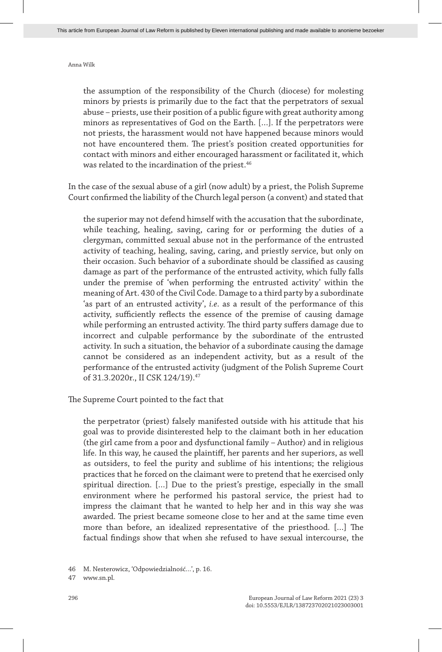the assumption of the responsibility of the Church (diocese) for molesting minors by priests is primarily due to the fact that the perpetrators of sexual abuse – priests, use their position of a public figure with great authority among minors as representatives of God on the Earth. […]. If the perpetrators were not priests, the harassment would not have happened because minors would not have encountered them. The priest's position created opportunities for contact with minors and either encouraged harassment or facilitated it, which was related to the incardination of the priest.<sup>46</sup>

In the case of the sexual abuse of a girl (now adult) by a priest, the Polish Supreme Court confirmed the liability of the Church legal person (a convent) and stated that

the superior may not defend himself with the accusation that the subordinate, while teaching, healing, saving, caring for or performing the duties of a clergyman, committed sexual abuse not in the performance of the entrusted activity of teaching, healing, saving, caring, and priestly service, but only on their occasion. Such behavior of a subordinate should be classified as causing damage as part of the performance of the entrusted activity, which fully falls under the premise of 'when performing the entrusted activity' within the meaning of Art. 430 of the Civil Code. Damage to a third party by a subordinate 'as part of an entrusted activity', *i.e*. as a result of the performance of this activity, sufficiently reflects the essence of the premise of causing damage while performing an entrusted activity. The third party suffers damage due to incorrect and culpable performance by the subordinate of the entrusted activity. In such a situation, the behavior of a subordinate causing the damage cannot be considered as an independent activity, but as a result of the performance of the entrusted activity (judgment of the Polish Supreme Court of 31.3.2020r., II CSK 124/19).<sup>47</sup>

The Supreme Court pointed to the fact that

the perpetrator (priest) falsely manifested outside with his attitude that his goal was to provide disinterested help to the claimant both in her education (the girl came from a poor and dysfunctional family – Author) and in religious life. In this way, he caused the plaintiff, her parents and her superiors, as well as outsiders, to feel the purity and sublime of his intentions; the religious practices that he forced on the claimant were to pretend that he exercised only spiritual direction. […] Due to the priest's prestige, especially in the small environment where he performed his pastoral service, the priest had to impress the claimant that he wanted to help her and in this way she was awarded. The priest became someone close to her and at the same time even more than before, an idealized representative of the priesthood. […] The factual findings show that when she refused to have sexual intercourse, the

<sup>46</sup> M. Nesterowicz, 'Odpowiedzialność…', p. 16.

<sup>47</sup> www.sn.pl.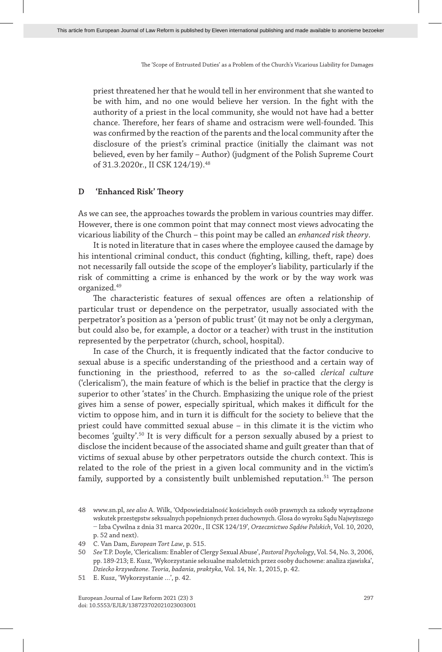priest threatened her that he would tell in her environment that she wanted to be with him, and no one would believe her version. In the fight with the authority of a priest in the local community, she would not have had a better chance. Therefore, her fears of shame and ostracism were well-founded. This was confirmed by the reaction of the parents and the local community after the disclosure of the priest's criminal practice (initially the claimant was not believed, even by her family – Author) (judgment of the Polish Supreme Court of 31.3.2020r., II CSK 124/19).<sup>48</sup>

#### **D 'Enhanced Risk' Theory**

As we can see, the approaches towards the problem in various countries may differ. However, there is one common point that may connect most views advocating the vicarious liability of the Church – this point may be called an *enhanced risk theory*.

It is noted in literature that in cases where the employee caused the damage by his intentional criminal conduct, this conduct (fighting, killing, theft, rape) does not necessarily fall outside the scope of the employer's liability, particularly if the risk of committing a crime is enhanced by the work or by the way work was organized.49

The characteristic features of sexual offences are often a relationship of particular trust or dependence on the perpetrator, usually associated with the perpetrator's position as a 'person of public trust' (it may not be only a clergyman, but could also be, for example, a doctor or a teacher) with trust in the institution represented by the perpetrator (church, school, hospital).

In case of the Church, it is frequently indicated that the factor conducive to sexual abuse is a specific understanding of the priesthood and a certain way of functioning in the priesthood, referred to as the so-called *clerical culture* ('clericalism'), the main feature of which is the belief in practice that the clergy is superior to other 'states' in the Church. Emphasizing the unique role of the priest gives him a sense of power, especially spiritual, which makes it difficult for the victim to oppose him, and in turn it is difficult for the society to believe that the priest could have committed sexual abuse – in this climate it is the victim who becomes 'guilty'.50 It is very difficult for a person sexually abused by a priest to disclose the incident because of the associated shame and guilt greater than that of victims of sexual abuse by other perpetrators outside the church context. This is related to the role of the priest in a given local community and in the victim's family, supported by a consistently built unblemished reputation.<sup>51</sup> The person

<sup>48</sup> www.sn.pl, *see also* A. Wilk, 'Odpowiedzialność kościelnych osób prawnych za szkody wyrządzone wskutek przestępstw seksualnych popełnionych przez duchownych. Glosa do wyroku Sądu Najwyższego − Izba Cywilna z dnia 31 marca 2020r., II CSK 124/19'*, Orzecznictwo Sądów Polskich*, Vol. 10, 2020, p. 52 and next).

<sup>49</sup> C. Van Dam, *European Tort Law*, p. 515.

<sup>50</sup> *See* T.P. Doyle, 'Clericalism: Enabler of Clergy Sexual Abuse', *Pastoral Psychology*, Vol. 54, No. 3, 2006, pp. 189-213; E. Kusz, 'Wykorzystanie seksualne małoletnich przez osoby duchowne: analiza zjawiska', *Dziecko krzywdzone. Teoria, badania, praktyka*, Vol. 14, Nr. 1, 2015, p. 42.

<sup>51</sup> E. Kusz, 'Wykorzystanie …', p. 42.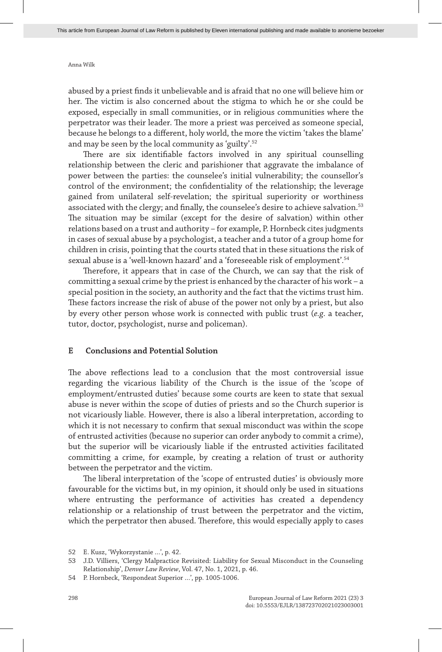abused by a priest finds it unbelievable and is afraid that no one will believe him or her. The victim is also concerned about the stigma to which he or she could be exposed, especially in small communities, or in religious communities where the perpetrator was their leader. The more a priest was perceived as someone special, because he belongs to a different, holy world, the more the victim 'takes the blame' and may be seen by the local community as 'guilty'.52

There are six identifiable factors involved in any spiritual counselling relationship between the cleric and parishioner that aggravate the imbalance of power between the parties: the counselee's initial vulnerability; the counsellor's control of the environment; the confidentiality of the relationship; the leverage gained from unilateral self-revelation; the spiritual superiority or worthiness associated with the clergy; and finally, the counselee's desire to achieve salvation.<sup>53</sup> The situation may be similar (except for the desire of salvation) within other relations based on a trust and authority – for example, P. Hornbeck cites judgments in cases of sexual abuse by a psychologist, a teacher and a tutor of a group home for children in crisis, pointing that the courts stated that in these situations the risk of sexual abuse is a 'well-known hazard' and a 'foreseeable risk of employment'.54

Therefore, it appears that in case of the Church, we can say that the risk of committing a sexual crime by the priest is enhanced by the character of his work – a special position in the society, an authority and the fact that the victims trust him. These factors increase the risk of abuse of the power not only by a priest, but also by every other person whose work is connected with public trust (*e.g*. a teacher, tutor, doctor, psychologist, nurse and policeman).

#### **E Conclusions and Potential Solution**

The above reflections lead to a conclusion that the most controversial issue regarding the vicarious liability of the Church is the issue of the 'scope of employment/entrusted duties' because some courts are keen to state that sexual abuse is never within the scope of duties of priests and so the Church superior is not vicariously liable. However, there is also a liberal interpretation, according to which it is not necessary to confirm that sexual misconduct was within the scope of entrusted activities (because no superior can order anybody to commit a crime), but the superior will be vicariously liable if the entrusted activities facilitated committing a crime, for example, by creating a relation of trust or authority between the perpetrator and the victim.

The liberal interpretation of the 'scope of entrusted duties' is obviously more favourable for the victims but, in my opinion, it should only be used in situations where entrusting the performance of activities has created a dependency relationship or a relationship of trust between the perpetrator and the victim, which the perpetrator then abused. Therefore, this would especially apply to cases

<sup>52</sup> E. Kusz, 'Wykorzystanie …', p. 42.

<sup>53</sup> J.D. Villiers, 'Clergy Malpractice Revisited: Liability for Sexual Misconduct in the Counseling Relationship', *Denver Law Review*, Vol. 47, No. 1, 2021, p. 46.

<sup>54</sup> P. Hornbeck, 'Respondeat Superior …', pp. 1005-1006.